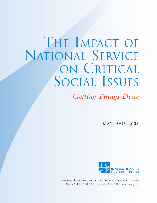# THE IMPACT OF NATIONAL SERVICE ON CRITICAL SOCIAL ISSUES

**Getting Things Done** 

**MAY 15–16, 2003**



1776 Massachusetts Ave., NW • Suite 201 • Washington, D.C. 20036 (Phone) 202-775-0290 • (Fax) 202-833-8581 • www.icicp.org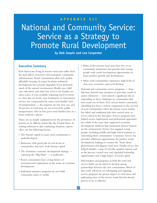# National and Community Service: Service as a Strategy to Promote Rural Development

**by Deb Jospin and Lee Carpenter**

#### **Executive Summary**

Poor Americans living in remote rural areas suffer from the dual effects of poverty and inadequate community infrastructures. Rural communities often lack quality, affordable housing. In many locations, industrial development has seriously degraded, if not destroyed, much of the natural environment. Health care, child care, education, and other key services for families are often scarce, if even available, requiring travel to towns or cities that are hours away. Inadequate or nonexistent services are compounded by many rural families' lack of transportation — the majority do not own cars, and 40 percent of rural areas are not serviced by public transportation. One in four poor rural families lives in a house without a phone.

There are no simple explanations for the persistence of poverty in an affluent nation like the United States. In seeking solutions to this continuing situation, experts often cite the following factors:

- The human capital in many rural communities is underdeveloped.
- Businesses with good jobs do not locate in communities that have weak human capital.
- The dominant economic development strategy capturing the "Big Plant" — is ineffective.
- Rural communities have a long history of environmental exploitation in the name of economic development.
- Individual assistance programs do not build community assets or wealth.
- Many of the poorest rural areas have few or no community institutions that provide their young people with youth development opportunities to foster positive growth and development.
- Many rural communities experience high levels of class, race, economic, and social division.

National and community service programs — from full-time AmeriCorps members to part-time youth or senior volunteers — have played a significant role in responding to these challenges in communities that have made use of them. First, service-based community rebuilding has been a critical component in the survival of rural communities when the private sector market has failed, and traditional jobs have moved away or never existed in the first place. Service programs have helped secure employment and professional opportunities, while at the same time supported economic development solutions that minimized adverse impacts on the environment. Service has engaged young people, including middle and high school students, in reinventing their communities' economies. Service has provided additional opportunities for positive youth development, helping to counter the "brain drain" phenomenon that plagues rural areas. Finally, service has helped rebuild a corps of civically minded citizens, and in the process, created new and expanded leadership opportunities and a high degree of social capital.

Policymakers and programs in both the rural and service fields can do much to develop strong partnerships between the two communities. Much of that work will focus on redesigning and targeting service programs for greater impact in rural areas, and replicating some of the service work that has already proven to be so effective.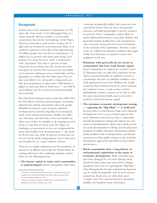#### **Background**

Tucked away in the mountains of Appalachia, on "the other side of the tracks" in the Mississippi Delta, in a *colonia* along the Mexican border, or in the small communities that dot the vast landscape of the Native American reservations, rural poverty remains out of sight and out of mind for most Americans. Many of us would be surprised to learn that of the approximately 65 million people who now live in rural America, 7.5 million live in poverty, with many more living "near poverty." For many, the term "rural" is synonymous with "agriculture," but only 6.3 percent of rural Americans live on farms, and only 10 percent of the rural poor are farmers.The rural poor are more likely to be married, working in service-related jobs, and less dependent on welfare than the urban poor.They are also more likely to be chronically or long-term poor than poor populations in urban areas. Child poverty is higher in rural areas than in urban areas — over half of rural children who live in female-headed households live in poverty.<sup>1</sup>

Poor Americans living in remote rural areas suffer from the dual effects of poverty and inadequate community infrastructures. Rural communities often lack quality, affordable housing. In many locations, industrial development has seriously degraded, if not destroyed, much of the natural environment. Health care, child care, education, and other key services for families are often scarce if they are available at all, requiring travel to towns or cities that are hours away.The impact of inadequate or nonexistent services are compounded by many rural families' lack of transportation — the majority do not own cars, while 40 percent of rural areas are not serviced by public transportation. One in four poor rural families live in a house without a phone.<sup>2</sup>

There are no simple explanations for the persistence of poverty in an affluent nation like the United States. In seeking solutions to this continuing situation, experts often cite the following factors:

• **The human capital in many rural communities is underdeveloped.** Rural communities suffer from

a shortage of politically skilled, well-connected, and empowered leaders who can attract and generate resources, and build partnerships to put the resources to good use.These communities cannot afford or attract skilled professionals to teach their children and keep their families healthy.They lack entrepreneurs who create jobs and goods and services in response to the demands of the marketplace.And they cannot count on a skilled and educated workforce that might enable local businesses to expand or attract new employers to the area.

- **Businesses with good jobs do not locate in communities that have weak human capital.** Rural communities are trapped in a modern Catch-22. Businesses that can offer their employees decent salaries and good benefits are unlikely to locate in communities that have an unskilled workforce and a weak professional service base.Without the wealth created by these businesses, however, rural communities continue to have a weak tax base and few philanthropic resources, and are not be able to offer the many educational, health, and social services needed to build their human capital.
- **The dominant economic development strategy — capturing the "Big Plant" –– is ineffective**. In many parts of rural America, large-scale industrial development is seen as an economic panacea. For many distressed areas, however, this is a potentially harmful development strategy that ignores the root causes of unemployment, which may include persistent racial discrimination in hiring and job placement, inequities in public education, environment-related health problems, lack of transportation, and limited investment in other public systems. It also overlooks development approaches that build on local talents and resources.
- **Rural communities have a long history of environmental exploitation in the name of economic development.** Many watershed areas have been damaged by acid mine drainage from abandoned deep mines and waste left by mining operations.The focus on capturing the "Big Plant" often disregards the fact that industrial development may be totally incompatible with an area's environmental base. Rural areas are often their state's "sacrifice areas" for corporate livestock operations, landfills, and hazardous waste incinerators.

<sup>1</sup> "Towards a Community-Based Rural Policy: Implications for Rural Health Care," Charles W. Fluharty, Executive Director, Rural Policy Research Institute, March 27, 2003.

<sup>2</sup> "America's Forgotten Children: Child Poverty in Rural America," published by Save The Children, June 2002.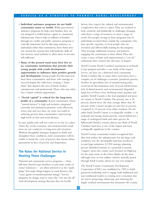- **Individual assistance programs do not build community assets or wealth.** While government assistance programs do help rural families, they are not designed to build human capital or community infrastructure. Direct help to millions of families through tax credits and public assistance programs is critically important, but by directing assistance to individuals rather than institutions, these funds have not created the systems that will build the skills of low-income rural residents to allow them to become self-sufficient.
- **Many of the poorest rural areas have few or no community institutions that provide their young people with youth development opportunities to influence their positive growth and development.**Young people feel disconnected from their communities, and those who manage to succeed despite the odds leave, creating a "brain drain" that deprives the area of future leaders, entrepreneurs and professionals.Those who stay, often face a future without opportunity.
- **"Social capital" is critical for the long-term health of a community**. Rural communities where "mutual interest" is high and inclusive, integrated networks and institutions promote work effectively across class and race lines, are more successful in reducing poverty than communities experiencing high levels of class and racial division.

In sum, quality jobs will not come to, or stay in, a place where the social, economic, and environmental conditions are not conducive to long-term job retention. Without thoughtful strategies designed to build and strengthen these conditions, rural communities will be unable to break the cycle of poverty that dooms future generations to lives of poverty and desperation.

### **The Roles for National Service in Meeting These Challenges**

National and community service programs –– from full-time AmeriCorps members to part-time youth or senior volunteers — are often referred to as the "spark plugs" that make things happen in rural America, the "yeast agents of transformational change." Service programs, by design, tend to reject the "one size fits all" rural development strategy. Because they are locally

driven, they respect the cultural and environmental complexities that exist in a place.They are inclined to look creatively and holistically at challenges, bringing with them a range of resources to meet a range of needs.The people serving in these programs may be individuals recruited from outside the community who have specific expertise, or local people who are recruited and offered skills training by the program. They leverage additional resources and partners, engaging the community in their efforts.They also create a sense of hope and empowerment, a "can do" enthusiasm that counters the old sense of despair.

Tyrrell County, North Carolina's investment in its Youth Corps program provides a case study of the impact service can have on a distressed rural community. North Carolina, like so many other rural states, faces a complex set of challenges: economic (persistent poverty, declines in agriculture, loss of manufacturing jobs); social (racial discrimination, lack of social infrastructure, lack of shared power); and environmental (degraded lands, loss of forest cover, declining water quantity and quality).Tyrrell County is the least populated and poorest county in North Carolina.The poverty rate is 25 percent, almost twice the state average. More than 42 percent of the county's people of color live in poverty, compared to 15 percent of its white residents. On the other hand,Tyrrell County is ecologically wealthy — its wetlands and swamp forests provide critical habitat for a range of endangered birds and other species. Its Albermarle-Pamlico estuary, almost one-third of North Carolina's land base, is one of the largest and most ecologically significant in the country.

Tyrrell County community leaders recognized that they had neither the infrastructure nor the large-scale workforce nor the developable land base needed to recruit large industries.A 1990 strategic planning process identified tourism as a potential economic "engine," given the county seat's location on Highway 64, the main route to the Outer Banks.At the time, although close to two million vehicles annually passed through Tyrell County, almost no one ever stopped.

The Tyrrell County Community Development Corporation (CDC) was established in 1992 to build grassroots leadership and to engage both traditional and non-traditional leaders in creating new economies that are tied to protecting, enhancing, and restoring the fragile wetland environment that dominates the county.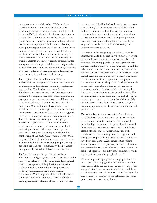In contrast to many of the other CDCs in North Carolina that are focused on affordable housing development or commercial development, the Tyrrell County CDC's founders felt that human development was the first critical step in addressing the issues that had plagued the county for generations.They believed that as human capacity was built, jobs and housing development opportunities would follow.They decided to focus on two primary programs: a small business incubator to enable job creation that did not rely on local government, and a youth conservation corps to enable leadership and entrepreneurial development for young adults in the region.While community members realized that some young people would always leave the area, they wanted to be sure that they at least had the option to stay, live, and work in the county.

The Regional Enterprise Incubator Network was established to encourage small business development as an alternative and supplement to county employment opportunities.The incubator supports African American- and Latino-owned small businesses while providing the administrative and business planning and management services that can make the difference in whether a business survives during the critical first three years. Many of the new businesses are being linked to the county's strategy of eco-tourism development: catering, bed-and-breakfasts, sign-making, guide services, accounting services, and insurance providers. The CDC is working to help local craftspeople establish a cooperative that will enable collective production and marketing of their crafts. Finally, it is partnering with statewide nonprofits and public agencies to strengthen the entrepreneurial training components of the Youth Conservation Corps (YCC) program. CDC leaders believe that the county's future economic vitality lies in their young people's "entrepreneurial spirit" and the self-sufficiency that is enabled through locally owned small business development.

The Tyrrell County YCC provides job skills and educational training for young adults. Over the past nine years, it has helped over 120 young adults learn natural resource management skills, job skills, and life skills while completing community service projects and leadership training. Modeled on the Civilian Conservation Corps programs of the 1930s, the youth corps members spend 35 hours a week in jobs skills training; five additional hours of the week are devoted

to educational, life skills, leadership, and career development training. Corps members who lack high school diplomas work to complete their GED requirements; those who have graduated from high school work on college entrance-level studies.The program promotes leadership development through rotating crew leader assignments, involvement in decision-making, and community outreach efforts.

The results of this program speak volumes about the investments made. In an area in which only 17 percent of its youth have traditionally gone on to college, 33 percent of the young people who have gone through the program have gone on to higher education, and the other 66 percent have found full-time employment in the area.The YCC program has also effectively met two critical needs for eco-tourism development.The first is the development of the programs and the physical infrastructure to enable the parks and refuges to provide an accessible, enjoyable outdoor experience for an increasing number of visitors, while minimizing their impact on the environment.The second is the building of human capital in the community so that all residents of the region experience the benefits of this carefully planned development through better education, more economic and employment opportunity, and improved quality of life.

One of the keys to the success of the Tyrrell County YCC has been the range of cross-sector partnerships that were developed to support it.The program has been developed, administered, operated, and evaluated by community members and volunteers. Faith leaders, elected officials, educators, farmers, agency staff, foundation leaders, retirees, parents, grandparents and siblings –– people of all ages, races and backgrounds –– have been core partners.As a result of this process, according to one of the partners,"entrenched biases in the community have been reduced . . . there have been distinct changes in some individuals' openness to working in positive ways with people of color."

These strategies and programs are helping to build the civic capacity and engagement in the overall development plans, while also ensuring that secure employment and professional careers are directly tied to careful and sustainable enjoyment of the area's natural heritage.The cars are now stopping to see the sights, and the young people have a reason to stay home.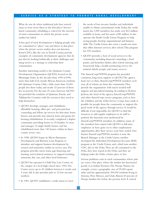What do you do when traditional jobs have moved away, or were never there in the first place? Servicebased community rebuilding is critical for the survival of rural communities in which the private sector market has failed.

A key goal of rural development is helping people who are committed to "place," stay and thrive in that place when the private sector market does not function. Rural CDCs, like the one in Tyrrell County, provide examples of community development agencies that do just that by looking holistically at their challenges and using service as a strategy to redevelop their communities.

Another interesting model is the Quitman County Development Organization (QCDO), located in the Mississippi Delta. In the decades from 1950 to1990, more than half of its mostly African American residents left Quitman County. Only a little more than 10,000 people live there today, and nearly 32 percent of them live in poverty. For the past 25 years, however, QCDO has provided the residents of Quitman, Panola, and Tallahatchie Counties with the resources they need to help themselves:

- QCDO develops, manages, and rehabilitates affordable housing; offers pre- and post-purchase counseling and follow up services for first-time home buyers; and provides low-interest loans and grants for housing rehabilitation. It recently completed a duplex community providing homes to 24 families. It owns and manages 14 single-family homes, and has rehabilitated more than 140 homes within its threecounty service area.
- In 1998, QCDO began its Micro-Enterprise Development and Business Loan Program to stimulate and support business development by women and minorities within its service area.The program provides micro loans, gap financing and training, and technical assistance to support trucking, restaurant, day care, and other local businesses.
- QCDO has operated it Child Day Care Center on the campus of a local high school since 1994.The Center serves up to 49 children between 6 weeks and 4 years old. It also provides jobs to 12 low-income mothers.
- In 1981, QCDO established a credit union to meet

the needs of low-income families and individuals unable to obtain conventional credit.Today, the credit union has 3,500 members, has made over \$12 million available in loans, and has assets of \$5 million. It also operates the Youth Credit Union Program to help young people develop organizational and business skills.The Credit Union also owns a youth-run store that offers Internet services after school.This program has 525 members.

• QCDO provides a host of social services to the community, including financial counseling, a food pantry and homeless shelter, after-school tutoring and homework help, a health monitoring service for isolated elderly people; and notary services.

The AmeriCorps\*VISTA program has provided consistent, long-term support to QCDO.The agency hosts two or three AmeriCorps\*VISTA members each year, all of whom are from the community.They provide the organization with much needed staff support and specialized training.According to Robert Jackson, the head of the agency,AmeriCorps\*VISTA and other AmeriCorps service programs, such as Save the Children and the Delta Service Corps, have made it possible for people from the community to support the good work of the agency through service. It would be difficult, if not impossible, for QCDO to find the resources to add regular employees to its staff to perform the functions now performed by AmeriCorps\*VISTA members. In addition, many of the members have stayed with QCDO as full-time employees or have gone on to other employment opportunities after their service years have ended. One former AmeriCorps\*VISTA member is now the Branch Manager at the Credit Union, another developed the Individual Development Account (IDA) program at the Credit Union, and a third runs another CDC, also in the Delta.They are all committed to the Delta, they have stayed in the Delta, and they are helping make the Delta a better place to live.

Serious problems exist in rural communities where jobs are scarce. One place where the market has functioned poorly is in Indian Territory.The Navajo Nation, for example, covers a geographic area of 25,000 square miles and has approximately 300,000 residents living in Arizona, New Mexico, and Utah.Almost 60 percent of Navajo families live below the poverty level.A critical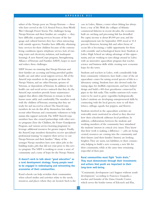subset of the Navajo poor are Navajo Veterans — those who have served in the U.S.Armed Forces, from World War I through Desert Storm.The challenges facing Navajo Veterans and their families are complex — they have difficulty acquiring services because of the language and cultural barriers they face when interacting with outside agencies. Families have difficulty obtaining basic services for their children because of the extreme living conditions (sparse telephone service, lack of running water and electricity, isolation, and inadequate housing).A new AmeriCorps program, Strengthening Alliance of Veterans and Families (SAVF), hopes to meet and reduce these challenges.

SAVF focuses on ensuring that Navajo Veterans and their families are accessing and being provided quality health care and other social support services.All of the AmeriCorps members in the program are from the Navajo Nation, and are either Veterans, spouses of Veterans, or dependents of Veterans. In addition to the health care and social service outreach that they do, the AmeriCorps members provide home maintenance support that allows older Veterans to remain in their homes more safely and comfortably.The members work with the children of Veterans, ensuring that they are ready for and succeed in school.The AmeriCorps members do not do this all by themselves, but rather recruit other Veterans and community volunteers to help sustain this support network.The SAVF AmeriCorps members have also created partnerships with other service programs (Save the Children, the Foster Grandparent Program, and various service-learning programs) to leverage additional resources for greater impact. Finally, the AmeriCorps members themselves receive specialized professional training "to improve their service to our Navajo Veterans and their families." Many of the younger Navajo members have now taken jobs in the building trades, jobs that did not exist prior to this service program.The SAVF is working to create a sense of community and a sense of hope for the Navajo Nation.

#### **It doesn't work to talk about "good education" as a rural development strategy. Young people need to be engaged in redeveloping and reinventing the economies of their communities.**

Rural schools can help revitalize their communities when school studies and activities relate to the needs, resources, and places where they are located. Such is the case in Lubec, Maine, a town where fishing has always been a way of life.With the collapse of Atlantic commercial fisheries in recent decades, the economy built on catching and processing fish has dwindled. Per capita income is about \$9,000 per year, and the unemployment rate for September 2000 stood at 10.4 percent. However, farming fish and other forms of ocean life is becoming a viable opportunity for those with scientific and technological know-how. Students at Lubec High School are taking advantage of this opportunity, and are working to turn things around in Lubec with an innovative aquaculture program that teaches science and business skills while creating new economic hope for the town.

Students and teachers in Lubec, with considerable help from community volunteers, have built a state of the art aquaculture center for raising several species of fish in a laboratory setting. Students have also devised tanks for raising algae for shellfish experiments, and have helped design and build a 400-foot greenhouse connected by pipes to the fish tanks.This enables nutrient-rich wastewater to be used to grow vegetables hydroponically. Lubec's students are developing entrepreneurial skills by contracting with the local grocery store to sell their lettuce, cabbage, squash, hot peppers, and flowers.

Students involved in the aquaculture activities are noticeably more motivated in school as they discover how their schoolwork addresses local problems. In addition, collaborations between the students and working members of the community have stimulated the students' interest in critical civic issues.They know that their work is making a difference  $-$  jobs are being created, resources are coming into the community, and their futures (and their families' futures) are looking brighter.They are assets, not liabilities, to their community, helping to build a new economy, a new life for their community, while at the same time remaining respectful of their past.

#### **Rural communities must fight "brain drain." They must demonstrate through their investments and actions that youth are important to their long-term well-being.**

"Community development can't happen without youth development," according to Francisco Guajardo, a teacher and founder of the Llano Grande Center, which serves the border towns of Edcouch and Elsa,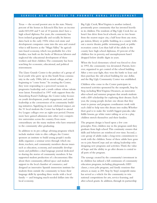Texas — the second poorest area in the state. Ninety percent of the homes in Edcouch/Elsa have an income under \$10,000 and 9 out of 10 parents don't have a high school diploma. For years, the community has been isolated geographically and socially. Its history dates back to the early 1920s when real estate and development companies came into the area and created what is still known as the "Magic Valley." Its agriculture-based economy, which was profitable for a few families, was built on the backs of Mexican laborers and neglected the educational development of these workers and their children.The community has been searching for economic, educational, and political reinvestment.

The Llano Grande Center is the product of a group of local youth who grew up in this South Texas community in the early 1980s, left to attend college, and are beginning to "come home." In creating the Center, they were responding to a perceived vacuum in progressive leadership and a youth culture whose talents were latent. Formalized in 1997 with support from the Annenberg Rural Challenge, the Center today focuses on youth development, youth engagement, and youth leadership as the cornerstones of its community building initiatives. Signifying its most celebrated impact, are the 51 local students the Center has helped to attend Ivy League colleges over an eight-year period. Dozens more have gained admission into other very competitive universities across the country. Even more extraordinary are the many students who have returned to the community after graduating.

In addition to its pre-college advising programs which include student visits to elite colleges, the Center: sponsors an institute to build young people's media skills; organizes a seminar series through which students, teachers, and community members discuss issues such as education, economy, and sustainable development; and publishes a dual language journal dedicated to sharing the stories of community members. It has supported student production of a documentary film about their community, offered space and student support to the local chamber of commerce, and designed an innovative Spanish immersion institute for students from outside the community to hone their language skills by spending three weeks with a local family — and bringing much-needed dollars into the local economy.

Big Ugly Creek,West Virginia is another isolated, persistently poor community that has invested heavily in its children.The residents of Big Ugly Creek live an hour's bus drive from local schools, one to two hours from the nearest major city, a half hour from any store, gas station, library or public building, in a county without a movie theatre, public swimming pool, or public recreation center. Less than half of the adults in the county have high school diplomas, 43 percent of the children live in poverty, and unemployment hasn't dropped below double digits in years.

When the local elementary school was forced to close in 1993, the community was devastated. Parents, however, organized to get control of the school building. After a two-year fight, they won the battle to lease and then purchase the old school building for one dollar, and the Big Ugly Community Center was established.

Children who come to the Center participate in structured activities sponsored by the nonprofit, Step by Step, including West Virginia Dreamers, an innovative after-school and summer program that awards students with a \$50 scholarship for exploring their dreams. Each year, the young people declare one dream that they want to pursue and program coordinators work with each child to help turn this dream into reality.Whether their goal is to make the world's biggest pancake, take fiddle lessons, go white water rafting or act in a play, children stretch themselves and their families.

The program design is based upon a few core principles. First, children stay in the program until they graduate from high school.This continuity ensures that skills and behaviors are reinforced over time. Second, a core group of adults make a long-term commitment to work with the children. Some of these adults have gone on to join AmeriCorps and are taking leadership roles designing new programs and activities.Third, the value of hope and the ability to go after dreams is central to all parts of the program.

The synergy created by the community's investment in its children has infused a full continuum of community education programs, including playgrounds, GED classes, a teen jobs program, and family reunions that attracts as many as 200. Step by Step's nonprofit status has served as a vehicle for the community to win national competitions for arts, service-learning, and after-school grants. In addition, through its partnership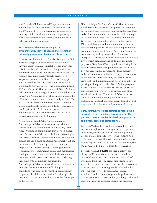with Save the Children, AmeriCorps members and AmeriCorps\*VISTA members have provided over 25,000 hours of service to Dreamers' communities, tutoring children, making home visits, supporting after-school programs, and creating computer labs to help bridge the digital divide.

#### **Rural communities need to support an entrepreneurial spirit, to create and strengthen internally grown small business enterprises.**

Rural Action, located in the Appalachia region of Ohio, envisions a region of clean streams, healthy forests, thriving family farms, meaningful jobs for everyone, effective, well-funded schools, and lively towns that remember local history and celebrate their stories.This vision is becoming a reality largely because of a long-term investment in Rural Action's *Strategy for Rural Renewal* by the Corporation for National and Community Service. In 1994, the Corporation placed 18 AmeriCorps\*VISTA members with Rural Action to help implement its Strategy for Rural Renewal.At that time, Rural Action had two staff members, a small attic office, one computer, a very modest budget of \$16,000, and 13 citizen-based committees working on some aspect of sustainable development.Today, Rural Action has 30 paid staff (13 of whom are former AmeriCorps\*VISTA members) working out of six offices, with a budget of \$1.6 million.

At the core of Rural Action's programs are its AmeriCorps\*VISTA members, many of whom are selected from the communities in which they were raised.Working in communities, they develop citizenbased "action teams" that are tasked with "visioning" a new reality for their communities. Once the visioning process has taken place, additional AmeriCorps\*VISTA members who have some specialized training in subjects such as hydro-geology, cultural geography, journalism, photography, fund-raising and membership development, and forestry, work with the community members to help make their visions real. By sharing their skills with community members, the AmeriCorps\*VISTA members allow the communities to bypass the expensive route of highly paid consultants who come in to "fix their communities." By putting the skills in the hands of local people, the stewardship of the region is then owned by the people of the region.

With the help of its AmeriCorps\*VISTA members, Rural Action has developed an approach to economic development that centers on four principles: keep local dollars local, use resources sustainably, build on unique local assets, and expand local ownership and options. Given the lack of an industrial base in this part of Ohio, small business and microbusiness development and expansion provide the most likely opportunity for economic development. Since 1995, Rural Action has been working with agricultural and forest-based enterprises, a sector that is often overlooked by business development programs. One of its most promising projects is *Good Food Direct!*, a guide to ordering fresh foods in season from local producers. Its Sustainable Forestry program has advanced the local capacity for herb and mushroom cultivation through workshops on cultivation, site visits to identify the best places to grow herbs and mushrooms, and research on different growing techniques.Another Rural Action program, Roots of Appalachia Growers Association (RAGA), is a support network for growers of ginseng and other woodland medicinals.The many RAGA members gather monthly to discuss any number of topics, including agricultural tax issues, recent legislation that may impact their business, and value-added products.

#### **Rural communities must commit to rebuilding a corps of civically minded citizens, and, in the process, create expanded leadership opportunities and a high degree of social capital.**

For years,Western Maryland has suffered from high rates of unemployment, poverty, teenage pregnancy, child abuse, neglect, binge drinking among young people, and academically low-scoring students.As a collaboration of over 20 service sites and other community organizations, **A STAR!** In Western Maryland (**A STAR!**) is helping to address those challenges.

For eight years, **A STAR!** has been a catalyst for change in Western Maryland. It has recruited and graduated 244 AmeriCorps members, almost all of whom are from the local area.These members have: served in the public schools to increase the one-on-one attention given to students; provided after-school and other support services to adjudicated, abused, abandoned, and other at-risk youth; helped to ensure that people needing access to food, clothing, shelter and independent living assistance receive the necessary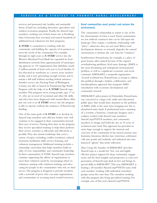services; and promoted safe, healthy, and sustainable forms of land use, including alternative agriculture and outdoor recreation programs. Finally, the AmeriCorps members, working out of their home site at Frostburg State University, have recruited and trained hundreds of additional local volunteers for their programs.

**A STAR!** is committed to working with the community and building the capacity of its partners to meet the needs of the community. For example, through its eight years as **A STAR!** service site, the Western Maryland Food Bank has expanded its food distribution network from approximately 65 participating agencies to 130 organizations that distribute nearly 2 million pounds of food each year to local families. It has relocated its warehouse to a newer, more modern facility, and is now generating enough revenue and to sustain a full staff without needing federal assistance. Another service site,Turning Point of Washington County, was able to launch its Transitional Age Youth Program with the help of an **A STAR!** AmeriCorps member.This program serves young people, ages 17 to 21, who are in need of vocational and other life skills, and who have been diagnosed with mental illness.After just one year as an **A STAR!** service site, the program is able to operate without the assistance of AmeriCorps funding.

One of the main goals of **A STAR!** is to develop its AmeriCorps members into effective leaders who will continue to be engaged in their communities beyond their year of service. During their time in the program, they receive specialized training to help them perform their service activities as efficiently and effectively as possible.They also attend workshops that cover a variety of topics, including conflict resolution, cultural awareness, facilitation skills, service-learning, and volunteer management.Additional training includes a citizenship curriculum that helps members build an ethic of civic responsibility and community leadership. In their communities,A STAR! AmeriCorps members continue supporting the efforts of organizations to meet their volunteer needs by encouraging others to volunteer, assisting with volunteer training, and advocating for people in the communities who rely on their service.The program is designed to provide members with a network of peers who can assist organizations and communities in accessing much needed resources.

#### **Rural communities must protect and restore the environment.**

The community's relationship to nature is one of the key determinants of what is rural. Rural communities are not artificial constructs that can be laid upon the landscape.They require a symbiotic relationship with "place"; otherwise, they are not rural. When rural development destroys or seriously degrades the natural environment, it destroys the core basis for "ruralness."

Southwestern Pennsylvania, for example, is a place of great beauty, often missed because of the region's overshadowing problems.Acid mine drainage (AMD) is the most devastating and widespread environmental problem, as well as a significant economic and social constraint.AMD&ART, a nonprofit organization located in Johnstown, Pennsylvania, is trying to address this problem through a holistic, collaborative, and interdisciplinary approach that integrates AMD remediation with economic development and community renewal.

AMD&ART's pilot project in Vintondale, Pennsylvania, was conceived as a large-scale artful and educational public place that would draw attention to the problem of AMD, while at the same time bringing new life to abandoned mine lands.A professional team consisting of a scientist, a historian, a landscape designer, and a sculptor worked with AmeriCorps members, AmeriCorps\*VISTA members, and community members to design and build the site on 35 acres of reclaimed mine land.This approach has provided an arena large enough to support the interests and concerns of the community. It has turned aerators into fountains, limestone ditches into waterways, settlement cells into ponds and wetlands, and industrial sites into historical "ghosts" that invite reflection.

Alan Comp, the founder of AMD&ART, describes AmeriCorps as a model for "low cost and highly effective project support for deep community engagement, and for fresh insights and perspective as each new generation of AmeriCorps finds its feet and brings its special skills to AMD&ART."This year AMD&ART is hosting a 28-member AmeriCorps\*VISTA team, with each member working with individual watershed groups across five state lines.The members working with this program also bring specialized training. For example, one of this year's AmeriCorps\*VISTA